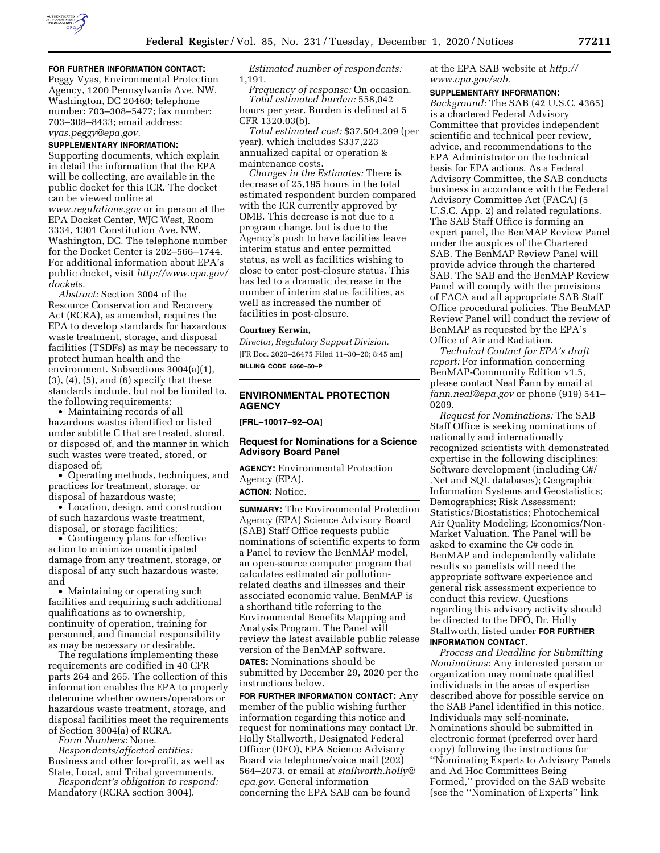

### **FOR FURTHER INFORMATION CONTACT:**

Peggy Vyas, Environmental Protection Agency, 1200 Pennsylvania Ave. NW, Washington, DC 20460; telephone number: 703–308–5477; fax number: 703–308–8433; email address:

*[vyas.peggy@epa.gov.](mailto:vyas.peggy@epa.gov)* 

### **SUPPLEMENTARY INFORMATION:**

Supporting documents, which explain in detail the information that the EPA will be collecting, are available in the public docket for this ICR. The docket can be viewed online at *[www.regulations.gov](http://www.regulations.gov)* or in person at the EPA Docket Center, WJC West, Room 3334, 1301 Constitution Ave. NW, Washington, DC. The telephone number for the Docket Center is 202–566–1744. For additional information about EPA's public docket, visit *[http://www.epa.gov/](http://www.epa.gov/dockets)  [dockets.](http://www.epa.gov/dockets)* 

*Abstract:* Section 3004 of the Resource Conservation and Recovery Act (RCRA), as amended, requires the EPA to develop standards for hazardous waste treatment, storage, and disposal facilities (TSDFs) as may be necessary to protect human health and the environment. Subsections 3004(a)(1), (3), (4), (5), and (6) specify that these standards include, but not be limited to, the following requirements:

• Maintaining records of all hazardous wastes identified or listed under subtitle C that are treated, stored, or disposed of, and the manner in which such wastes were treated, stored, or disposed of;

• Operating methods, techniques, and practices for treatment, storage, or disposal of hazardous waste;

• Location, design, and construction of such hazardous waste treatment, disposal, or storage facilities;

• Contingency plans for effective action to minimize unanticipated damage from any treatment, storage, or disposal of any such hazardous waste; and

• Maintaining or operating such facilities and requiring such additional qualifications as to ownership, continuity of operation, training for personnel, and financial responsibility as may be necessary or desirable.

The regulations implementing these requirements are codified in 40 CFR parts 264 and 265. The collection of this information enables the EPA to properly determine whether owners/operators or hazardous waste treatment, storage, and disposal facilities meet the requirements of Section 3004(a) of RCRA.

*Form Numbers:* None.

*Respondents/affected entities:*  Business and other for-profit, as well as State, Local, and Tribal governments.

*Respondent's obligation to respond:*  Mandatory (RCRA section 3004).

*Estimated number of respondents:*  1,191.

*Frequency of response:* On occasion. *Total estimated burden:* 558,042 hours per year. Burden is defined at 5 CFR 1320.03(b).

*Total estimated cost:* \$37,504,209 (per year), which includes \$337,223 annualized capital or operation & maintenance costs.

*Changes in the Estimates:* There is decrease of 25,195 hours in the total estimated respondent burden compared with the ICR currently approved by OMB. This decrease is not due to a program change, but is due to the Agency's push to have facilities leave interim status and enter permitted status, as well as facilities wishing to close to enter post-closure status. This has led to a dramatic decrease in the number of interim status facilities, as well as increased the number of facilities in post-closure.

### **Courtney Kerwin,**

*Director, Regulatory Support Division.*  [FR Doc. 2020–26475 Filed 11–30–20; 8:45 am] **BILLING CODE 6560–50–P** 

# **ENVIRONMENTAL PROTECTION AGENCY**

**[FRL–10017–92–OA]** 

#### **Request for Nominations for a Science Advisory Board Panel**

**AGENCY:** Environmental Protection Agency (EPA). **ACTION:** Notice.

**SUMMARY:** The Environmental Protection Agency (EPA) Science Advisory Board (SAB) Staff Office requests public nominations of scientific experts to form a Panel to review the BenMAP model, an open-source computer program that calculates estimated air pollutionrelated deaths and illnesses and their associated economic value. BenMAP is a shorthand title referring to the Environmental Benefits Mapping and Analysis Program. The Panel will review the latest available public release version of the BenMAP software. **DATES:** Nominations should be submitted by December 29, 2020 per the instructions below.

**FOR FURTHER INFORMATION CONTACT:** Any member of the public wishing further information regarding this notice and request for nominations may contact Dr. Holly Stallworth, Designated Federal Officer (DFO), EPA Science Advisory Board via telephone/voice mail (202) 564–2073, or email at *[stallworth.holly@](mailto:stallworth.holly@epa.gov) [epa.gov.](mailto:stallworth.holly@epa.gov)* General information concerning the EPA SAB can be found

at the EPA SAB website at *[http://](http://www.epa.gov/sab) [www.epa.gov/sab.](http://www.epa.gov/sab)* 

#### **SUPPLEMENTARY INFORMATION:**

*Background:* The SAB (42 U.S.C. 4365) is a chartered Federal Advisory Committee that provides independent scientific and technical peer review, advice, and recommendations to the EPA Administrator on the technical basis for EPA actions. As a Federal Advisory Committee, the SAB conducts business in accordance with the Federal Advisory Committee Act (FACA) (5 U.S.C. App. 2) and related regulations. The SAB Staff Office is forming an expert panel, the BenMAP Review Panel under the auspices of the Chartered SAB. The BenMAP Review Panel will provide advice through the chartered SAB. The SAB and the BenMAP Review Panel will comply with the provisions of FACA and all appropriate SAB Staff Office procedural policies. The BenMAP Review Panel will conduct the review of BenMAP as requested by the EPA's Office of Air and Radiation.

*Technical Contact for EPA's draft report:* For information concerning BenMAP-Community Edition v1.5, please contact Neal Fann by email at *[fann.neal@epa.gov](mailto:fann.neal@epa.gov)* or phone (919) 541– 0209.

*Request for Nominations:* The SAB Staff Office is seeking nominations of nationally and internationally recognized scientists with demonstrated expertise in the following disciplines: Software development (including C#/ .Net and SQL databases); Geographic Information Systems and Geostatistics; Demographics; Risk Assessment; Statistics/Biostatistics; Photochemical Air Quality Modeling; Economics/Non-Market Valuation. The Panel will be asked to examine the C# code in BenMAP and independently validate results so panelists will need the appropriate software experience and general risk assessment experience to conduct this review. Questions regarding this advisory activity should be directed to the DFO, Dr. Holly Stallworth, listed under **FOR FURTHER INFORMATION CONTACT**.

*Process and Deadline for Submitting Nominations:* Any interested person or organization may nominate qualified individuals in the areas of expertise described above for possible service on the SAB Panel identified in this notice. Individuals may self-nominate. Nominations should be submitted in electronic format (preferred over hard copy) following the instructions for ''Nominating Experts to Advisory Panels and Ad Hoc Committees Being Formed,'' provided on the SAB website (see the ''Nomination of Experts'' link